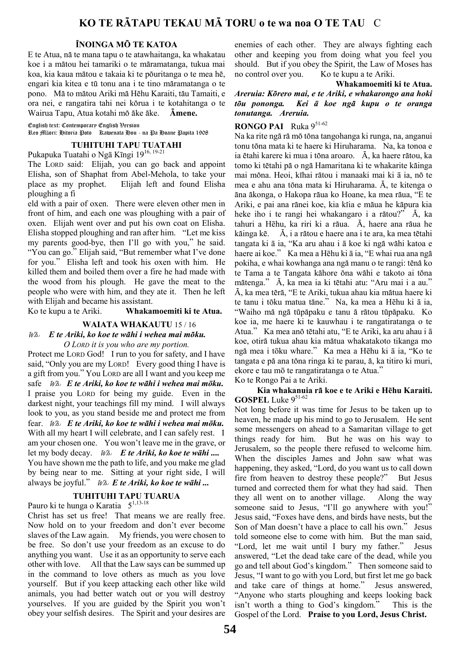## ÏNOINGA MÖ TE KATOA

E te Atua, nä te mana tapu o te atawhaitanga, ka whakatau koe i a mätou hei tamariki o te märamatanga, tukua mai koa, kia kaua mätou e takaia ki te pöuritanga o te mea hë, engari kia kitea e tü tonu ana i te tino märamatanga o te pono. Mä to mätou Ariki mä Hëhu Karaiti, täu Tamaiti, e ora nei, e rangatira tahi nei körua i te kotahitanga o te Wairua Tapu, Atua kotahi mö äke äke. Ämene.

English text: Contemporary English Version Reo Māori: Hitoria Poto Kawenata Hou - na Pa Hoane Papita 1908

#### TUHITUHI TAPU TUATAHI

Pukapuka Tuatahi o Ngā Kīngi 1916, 19-21

The LORD said: Elijah, you can go back and appoint Elisha, son of Shaphat from Abel-Mehola, to take your place as my prophet. Elijah left and found Elisha ploughing a fi

eld with a pair of oxen. There were eleven other men in front of him, and each one was ploughing with a pair of oxen. Elijah went over and put his own coat on Elisha. Elisha stopped ploughing and ran after him. "Let me kiss my parents good-bye, then I'll go with you," he said. "You can go." Elijah said, "But remember what I've done for you." Elisha left and took his oxen with him. He killed them and boiled them over a fire he had made with the wood from his plough. He gave the meat to the people who were with him, and they ate it. Then he left with Elijah and became his assistant.

Ko te kupu a te Ariki. Whakamoemiti ki te Atua.

#### WAIATA WHAKAUTU 15 / 16

#### Wh: E te Ariki, ko koe te wähi i wehea mai möku. O LORD it is you who are my portion.

Protect me LORD God! I run to you for safety, and I have said, "Only you are my LORD! Every good thing I have is a gift from you." You LORD are all I want and you keep me safe Wh: E te Ariki, ko koe te wähi i wehea mai m*ōku.* I praise you LORD for being my guide. Even in the darkest night, your teachings fill my mind. I will always look to you, as you stand beside me and protect me from fear. Wh: E te Ariki, ko koe te wähi i wehea mai m*ōku.* With all my heart I will celebrate, and I can safely rest. I am your chosen one. You won't leave me in the grave, or let my body decay. Wh: E te Ariki, ko koe te w*āhi ....* You have shown me the path to life, and you make me glad by being near to me. Sitting at your right side, I will always be joyful." Wh: E te Ariki, ko koe te w*āhi ...*

## TUHITUHI TAPU TUARUA

Pauro ki te hunga o Karatia  $5^{1,13-18}$ 

Christ has set us free! That means we are really free. Now hold on to your freedom and don't ever become slaves of the Law again. My friends, you were chosen to be free. So don't use your freedom as an excuse to do anything you want. Use it as an opportunity to serve each other with love. All that the Law says can be summed up in the command to love others as much as you love yourself. But if you keep attacking each other like wild animals, you had better watch out or you will destroy yourselves. If you are guided by the Spirit you won't obey your selfish desires. The Spirit and your desires are enemies of each other. They are always fighting each other and keeping you from doing what you feel you should. But if you obey the Spirit, the Law of Moses has no control over you. Ko te kupu a te Ariki.

Whakamoemiti ki te Atua.

Areruia: Körero mai, e te Ariki, e whakarongo ana hoki töu pononga. Kei *ā* koe ngä kupu o te oranga tonutanga. Areruia.

### **RONGO PAI** Ruka  $9^{51-62}$

Na ka rite ngä rä mö töna tangohanga ki runga, na, anganui tonu töna mata ki te haere ki Hiruharama. Na, ka tonoa e ia ëtahi karere ki mua i töna aroaro. Ä, ka haere rätou, ka tomo ki tëtahi pä o ngä Hamaritana ki te whakarite käinga mai möna. Heoi, kïhai rätou i manaaki mai ki ā ia, nö te mea e ahu ana töna mata ki Hiruharama. Ä, te kitenga o äna äkonga, o Hakopa räua ko Hoane, ka mea räua, "E te Ariki, e pai ana ränei koe, kia kïia e mäua he käpura kia heke iho i te rangi hei whakangaro i a rätou?" Ä, ka tahuri a Hēhu, ka riri ki a räua. Ä, haere ana räua he käinga kë. Ä, i a rätou e haere ana i te ara, ka mea tëtahi tangata ki ā ia, "Ka aru ahau i ā koe ki ngä wähi katoa e haere ai koe." Ka mea a Hēhu ki ā ia, "E whai rua ana ngä pokiha, e whai kowhanga ana ngä manu o te rangi: tënä ko te Tama a te Tangata kähore öna wähi e takoto ai töna mätenga." Ä, ka mea ia ki tëtahi atu: "Aru mai i a au." Ä, ka mea tërä, "E te Ariki, tukua ahau kia mätua haere ki te tanu i töku matua täne." Na, ka mea a Hēhu ki ā ia, "Waiho mä ngä tüpäpaku e tanu ä rätou tüpäpaku. Ko koe ia, me haere ki te kauwhau i te rangatiratanga o te Atua." Ka mea anö tëtahi atu, "E te Ariki, ka aru ahau i ā koe, otirä tukua ahau kia mätua whakatakoto tikanga mo ngä mea i tōku whare." Ka mea a Hēhu ki ā ia, "Ko te tangata e pä ana töna ringa ki te parau, ä, ka titiro ki muri, ekore e tau mō te rangatiratanga o te Atua."

Ko te Rongo Pai a te Ariki.

Kia whakanuia rä koe e te Ariki e H**ēhu Karaiti.** GOSPEL Luke 951-62

Not long before it was time for Jesus to be taken up to heaven, he made up his mind to go to Jerusalem. He sent some messengers on ahead to a Samaritan village to get things ready for him. But he was on his way to Jerusalem, so the people there refused to welcome him. When the disciples James and John saw what was happening, they asked, "Lord, do you want us to call down fire from heaven to destroy these people?" But Jesus turned and corrected them for what they had said. Then they all went on to another village. Along the way someone said to Jesus, "I'll go anywhere with you!" Jesus said, "Foxes have dens, and birds have nests, but the Son of Man doesn't have a place to call his own." Jesus told someone else to come with him. But the man said, "Lord, let me wait until I bury my father." Jesus answered, "Let the dead take care of the dead, while you go and tell about God's kingdom." Then someone said to Jesus, "I want to go with you Lord, but first let me go back and take care of things at home." Jesus answered, "Anyone who starts ploughing and keeps looking back isn't worth a thing to God's kingdom." This is the Gospel of the Lord. Praise to you Lord, Jesus Christ.